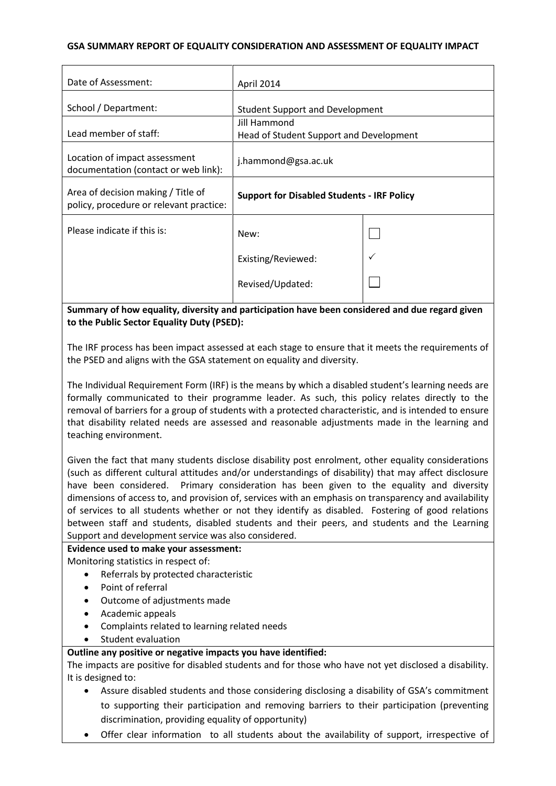### **GSA SUMMARY REPORT OF EQUALITY CONSIDERATION AND ASSESSMENT OF EQUALITY IMPACT**

| Date of Assessment:                                                           | April 2014                                              |  |
|-------------------------------------------------------------------------------|---------------------------------------------------------|--|
| School / Department:                                                          | <b>Student Support and Development</b>                  |  |
| Lead member of staff:                                                         | Jill Hammond<br>Head of Student Support and Development |  |
| Location of impact assessment<br>documentation (contact or web link):         | j.hammond@gsa.ac.uk                                     |  |
| Area of decision making / Title of<br>policy, procedure or relevant practice: | <b>Support for Disabled Students - IRF Policy</b>       |  |
| Please indicate if this is:                                                   | New:                                                    |  |
|                                                                               | Existing/Reviewed:                                      |  |
|                                                                               | Revised/Updated:                                        |  |

**Summary of how equality, diversity and participation have been considered and due regard given to the Public Sector Equality Duty (PSED):**

The IRF process has been impact assessed at each stage to ensure that it meets the requirements of the PSED and aligns with the GSA statement on equality and diversity.

The Individual Requirement Form (IRF) is the means by which a disabled student's learning needs are formally communicated to their programme leader. As such, this policy relates directly to the removal of barriers for a group of students with a protected characteristic, and is intended to ensure that disability related needs are assessed and reasonable adjustments made in the learning and teaching environment.

Given the fact that many students disclose disability post enrolment, other equality considerations (such as different cultural attitudes and/or understandings of disability) that may affect disclosure have been considered. Primary consideration has been given to the equality and diversity dimensions of access to, and provision of, services with an emphasis on transparency and availability of services to all students whether or not they identify as disabled. Fostering of good relations between staff and students, disabled students and their peers, and students and the Learning Support and development service was also considered.

### **Evidence used to make your assessment:**

Monitoring statistics in respect of:

- Referrals by protected characteristic
- Point of referral
- Outcome of adjustments made
- Academic appeals
- Complaints related to learning related needs
- Student evaluation

### **Outline any positive or negative impacts you have identified:**

The impacts are positive for disabled students and for those who have not yet disclosed a disability. It is designed to:

- Assure disabled students and those considering disclosing a disability of GSA's commitment to supporting their participation and removing barriers to their participation (preventing discrimination, providing equality of opportunity)
- Offer clear information to all students about the availability of support, irrespective of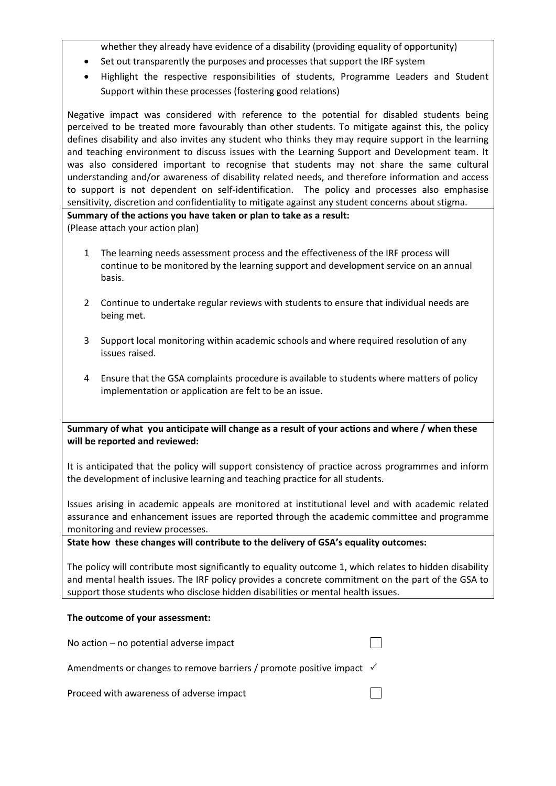whether they already have evidence of a disability (providing equality of opportunity)

- Set out transparently the purposes and processes that support the IRF system
- Highlight the respective responsibilities of students, Programme Leaders and Student Support within these processes (fostering good relations)

Negative impact was considered with reference to the potential for disabled students being perceived to be treated more favourably than other students. To mitigate against this, the policy defines disability and also invites any student who thinks they may require support in the learning and teaching environment to discuss issues with the Learning Support and Development team. It was also considered important to recognise that students may not share the same cultural understanding and/or awareness of disability related needs, and therefore information and access to support is not dependent on self-identification. The policy and processes also emphasise sensitivity, discretion and confidentiality to mitigate against any student concerns about stigma. **Summary of the actions you have taken or plan to take as a result:**

(Please attach your action plan)

- 1 The learning needs assessment process and the effectiveness of the IRF process will continue to be monitored by the learning support and development service on an annual basis.
- 2 Continue to undertake regular reviews with students to ensure that individual needs are being met.
- 3 Support local monitoring within academic schools and where required resolution of any issues raised.
- 4 Ensure that the GSA complaints procedure is available to students where matters of policy implementation or application are felt to be an issue.

**Summary of what you anticipate will change as a result of your actions and where / when these will be reported and reviewed:**

It is anticipated that the policy will support consistency of practice across programmes and inform the development of inclusive learning and teaching practice for all students.

Issues arising in academic appeals are monitored at institutional level and with academic related assurance and enhancement issues are reported through the academic committee and programme monitoring and review processes.

**State how these changes will contribute to the delivery of GSA's equality outcomes:**

The policy will contribute most significantly to equality outcome 1, which relates to hidden disability and mental health issues. The IRF policy provides a concrete commitment on the part of the GSA to support those students who disclose hidden disabilities or mental health issues.

### **The outcome of your assessment:**

No action – no potential adverse impact Amendments or changes to remove barriers / promote positive impact  $\checkmark$ 

Proceed with awareness of adverse impact